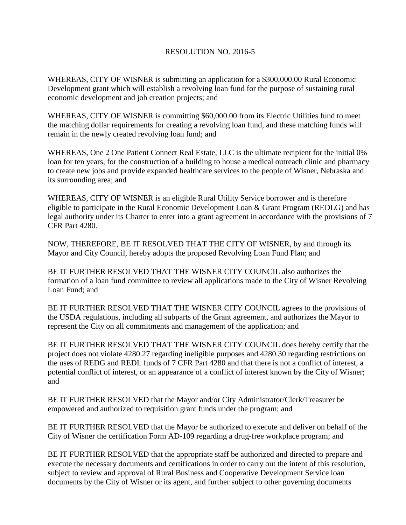## RESOLUTION NO. 2016-5

WHEREAS, CITY OF WISNER is submitting an application for a \$300,000.00 Rural Economic Development grant which will establish a revolving loan fund for the purpose of sustaining rural economic development and job creation projects; and

WHEREAS, CITY OF WISNER is committing \$60,000.00 from its Electric Utilities fund to meet the matching dollar requirements for creating a revolving loan fund, and these matching funds will remain in the newly created revolving loan fund; and

WHEREAS, One 2 One Patient Connect Real Estate, LLC is the ultimate recipient for the initial 0% loan for ten years, for the construction of a building to house a medical outreach clinic and pharmacy to create new jobs and provide expanded healthcare services to the people of Wisner, Nebraska and its surrounding area; and

WHEREAS, CITY OF WISNER is an eligible Rural Utility Service borrower and is therefore eligible to participate in the Rural Economic Development Loan & Grant Program (REDLG) and has legal authority under its Charter to enter into a grant agreement in accordance with the provisions of 7 CFR Part 4280.

NOW, THEREFORE, BE IT RESOLVED THAT THE CITY OF WISNER, by and through its Mayor and City Council, hereby adopts the proposed Revolving Loan Fund Plan; and

BE IT FURTHER RESOLVED THAT THE WISNER CITY COUNCIL also authorizes the formation of a loan fund committee to review all applications made to the City of Wisner Revolving Loan Fund; and

BE IT FURTHER RESOLVED THAT THE WISNER CITY COUNCIL agrees to the provisions of the USDA regulations, including all subparts of the Grant agreement, and authorizes the Mayor to represent the City on all commitments and management of the application; and

BE IT FURTHER RESOLVED THAT THE WISNER CITY COUNCIL does hereby certify that the project does not violate 4280.27 regarding ineligible purposes and 4280.30 regarding restrictions on the uses of REDG and REDL funds of 7 CFR Part 4280 and that there is not a conflict of interest, a potential conflict of interest, or an appearance of a conflict of interest known by the City of Wisner; and

BE IT FURTHER RESOLVED that the Mayor and/or City Administrator/Clerk/Treasurer be empowered and authorized to requisition grant funds under the program; and

BE IT FURTHER RESOLVED that the Mayor be authorized to execute and deliver on behalf of the City of Wisner the certification Form AD-109 regarding a drug-free workplace program; and

BE IT FURTHER RESOLVED that the appropriate staff be authorized and directed to prepare and execute the necessary documents and certifications in order to carry out the intent of this resolution, subject to review and approval of Rural Business and Cooperative Development Service loan documents by the City of Wisner or its agent, and further subject to other governing documents